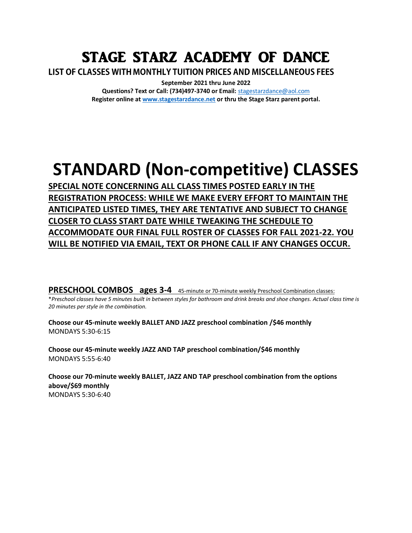# STAGE STARZ ACADEMY OF DANCE

LIST OF CLASSES WITH MONTHLY TUITION PRICES AND MISCELLANEOUS FEES

**September 2021 thru June 2022 Questions? Text or Call: (734)497-3740 or Email:** [stagestarzdance@aol.com](mailto:stagestarzdance@aol.com) **Register online a[t www.stagestarzdance.net](http://www.stagestarzdance.net/) or thru the Stage Starz parent portal.**

# **STANDARD (Non-competitive) CLASSES**

**SPECIAL NOTE CONCERNING ALL CLASS TIMES POSTED EARLY IN THE REGISTRATION PROCESS: WHILE WE MAKE EVERY EFFORT TO MAINTAIN THE ANTICIPATED LISTED TIMES, THEY ARE TENTATIVE AND SUBJECT TO CHANGE CLOSER TO CLASS START DATE WHILE TWEAKING THE SCHEDULE TO ACCOMMODATE OUR FINAL FULL ROSTER OF CLASSES FOR FALL 2021-22. YOU WILL BE NOTIFIED VIA EMAIL, TEXT OR PHONE CALL IF ANY CHANGES OCCUR.**

**PRESCHOOL COMBOS ages 3-4** 45-minute or 70-minute weekly Preschool Combination classes:

\**Preschool classes have 5 minutes built in between styles for bathroom and drink breaks and shoe changes. Actual class time is 20 minutes per style in the combination.*

**Choose our 45-minute weekly BALLET AND JAZZ preschool combination /\$46 monthly** MONDAYS 5:30-6:15

**Choose our 45-minute weekly JAZZ AND TAP preschool combination/\$46 monthly** MONDAYS 5:55-6:40

**Choose our 70-minute weekly BALLET, JAZZ AND TAP preschool combination from the options above/\$69 monthly**  MONDAYS 5:30-6:40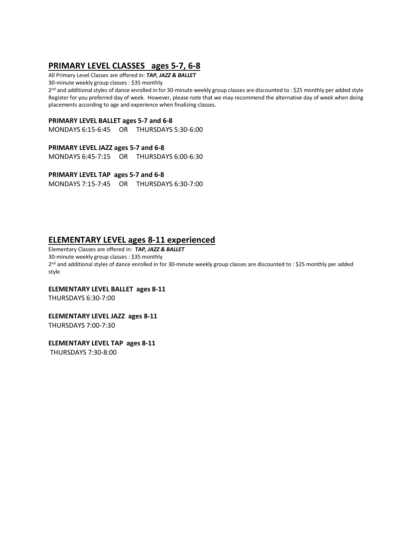# **PRIMARY LEVEL CLASSES ages 5-7, 6-8**

All Primary Level Classes are offered in: *TAP, JAZZ & BALLET*

30-minute weekly group classes : \$35 monthly

2 nd and additional styles of dance enrolled in for 30-minute weekly group classes are discounted to : \$25 monthly per added style Register for you preferred day of week. However, please note that we may recommend the alternative day of week when doing placements according to age and experience when finalizing classes.

#### **PRIMARY LEVEL BALLET ages 5-7 and 6-8**

MONDAYS 6:15-6:45 OR THURSDAYS 5:30-6:00

#### **PRIMARY LEVEL JAZZ ages 5-7 and 6-8**

MONDAYS 6:45-7:15 OR THURSDAYS 6:00-6:30

**PRIMARY LEVEL TAP ages 5-7 and 6-8** 

MONDAYS 7:15-7:45 OR THURSDAYS 6:30-7:00

## **ELEMENTARY LEVEL ages 8-11 experienced**

Elementary Classes are offered in: *TAP, JAZZ & BALLET* 30-minute weekly group classes : \$35 monthly 2 nd and additional styles of dance enrolled in for 30-minute weekly group classes are discounted to : \$25 monthly per added style

#### **ELEMENTARY LEVEL BALLET ages 8-11**

THURSDAYS 6:30-7:00

#### **ELEMENTARY LEVEL JAZZ ages 8-11**

THURSDAYS 7:00-7:30

#### **ELEMENTARY LEVEL TAP ages 8-11**

THURSDAYS 7:30-8:00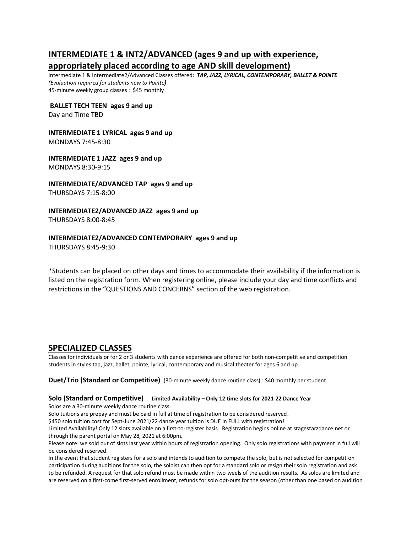## **INTERMEDIATE 1 & INT2/ADVANCED (ages 9 and up with experience, appropriately placed according to age AND skill development)**

Intermediate 1 & Intermediate2/Advanced Classes offered: *TAP, JAZZ, LYRICAL, CONTEMPORARY, BALLET & POINTE (Evaluation required for students new to Pointe)* 45-minute weekly group classes : \$45 monthly

**BALLET TECH TEEN ages 9 and up** 

Day and Time TBD

#### **INTERMEDIATE 1 LYRICAL ages 9 and up**  MONDAYS 7:45-8:30

**INTERMEDIATE 1 JAZZ ages 9 and up**  MONDAYS 8:30-9:15

**INTERMEDIATE/ADVANCED TAP ages 9 and up**  THURSDAYS 7:15-8:00

# **INTERMEDIATE2/ADVANCED JAZZ ages 9 and up**

THURSDAYS 8:00-8:45

#### **INTERMEDIATE2/ADVANCED CONTEMPORARY ages 9 and up**

THURSDAYS 8:45-9:30

\*Students can be placed on other days and times to accommodate their availability if the information is listed on the registration form. When registering online, please include your day and time conflicts and restrictions in the "QUESTIONS AND CONCERNS" section of the web registration.

### **SPECIALIZED CLASSES**

Classes for individuals or for 2 or 3 students with dance experience are offered for both non-competitive and competition students in styles tap, jazz, ballet, pointe, lyrical, contemporary and musical theater for ages 6 and up

**Duet/Trio (Standard or Competitive)** (30-minute weekly dance routine class) : \$40 monthly per student

### **Solo (Standard or Competitive) Limited Availability – Only 12 time slots for 2021-22 Dance Year**

Solos are a 30-minute weekly dance routine class.

Solo tuitions are prepay and must be paid in full at time of registration to be considered reserved.

\$450 solo tuition cost for Sept-June 2021/22 dance year tuition is DUE in FULL with registration!

Limited Availability! Only 12 slots available on a first-to-register basis. Registration begins online at stagestarzdance.net or through the parent portal on May 28, 2021 at 6:00pm.

Please note: we sold out of slots last year within hours of registration opening. Only solo registrations with payment in full will be considered reserved.

In the event that student registers for a solo and intends to audition to compete the solo, but is not selected for competition participation during auditions for the solo, the soloist can then opt for a standard solo or resign their solo registration and ask to be refunded. A request for that solo refund must be made within two weels of the audition results. As solos are limited and are reserved on a first-come first-served enrollment, refunds for solo opt-outs for the season (other than one based on audition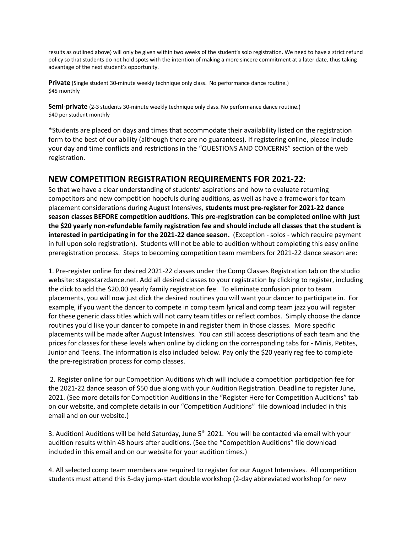results as outlined above) will only be given within two weeks of the student's solo registration. We need to have a strict refund policy so that students do not hold spots with the intention of making a more sincere commitment at a later date, thus taking advantage of the next student's opportunity.

**Private** (Single student 30-minute weekly technique only class. No performance dance routine.) \$45 monthly

**Semi**-**private** (2-3 students 30-minute weekly technique only class. No performance dance routine.) \$40 per student monthly

\*Students are placed on days and times that accommodate their availability listed on the registration form to the best of our ability (although there are no guarantees). If registering online, please include your day and time conflicts and restrictions in the "QUESTIONS AND CONCERNS" section of the web registration.

## **NEW COMPETITION REGISTRATION REQUIREMENTS FOR 2021-22**:

So that we have a clear understanding of students' aspirations and how to evaluate returning competitors and new competition hopefuls during auditions, as well as have a framework for team placement considerations during August Intensives, **students must pre-register for 2021-22 dance season classes BEFORE competition auditions. This pre-registration can be completed online with just the \$20 yearly non-refundable family registration fee and should include all classes that the student is interested in participating in for the 2021-22 dance season.** (Exception - solos - which require payment in full upon solo registration). Students will not be able to audition without completing this easy online preregistration process. Steps to becoming competition team members for 2021-22 dance season are:

1. Pre-register online for desired 2021-22 classes under the Comp Classes Registration tab on the studio website: stagestarzdance.net. Add all desired classes to your registration by clicking to register, including the click to add the \$20.00 yearly family registration fee. To eliminate confusion prior to team placements, you will now just click the desired routines you will want your dancer to participate in. For example, if you want the dancer to compete in comp team lyrical and comp team jazz you will register for these generic class titles which will not carry team titles or reflect combos. Simply choose the dance routines you'd like your dancer to compete in and register them in those classes. More specific placements will be made after August Intensives. You can still access descriptions of each team and the prices for classes for these levels when online by clicking on the corresponding tabs for - Minis, Petites, Junior and Teens. The information is also included below. Pay only the \$20 yearly reg fee to complete the pre-registration process for comp classes.

2. Register online for our Competition Auditions which will include a competition participation fee for the 2021-22 dance season of \$50 due along with your Audition Registration. Deadline to register June, 2021. (See more details for Competition Auditions in the "Register Here for Competition Auditions" tab on our website, and complete details in our "Competition Auditions" file download included in this email and on our website.)

3. Audition! Auditions will be held Saturday, June 5<sup>th</sup> 2021. You will be contacted via email with your audition results within 48 hours after auditions. (See the "Competition Auditions" file download included in this email and on our website for your audition times.)

4. All selected comp team members are required to register for our August Intensives. All competition students must attend this 5-day jump-start double workshop (2-day abbreviated workshop for new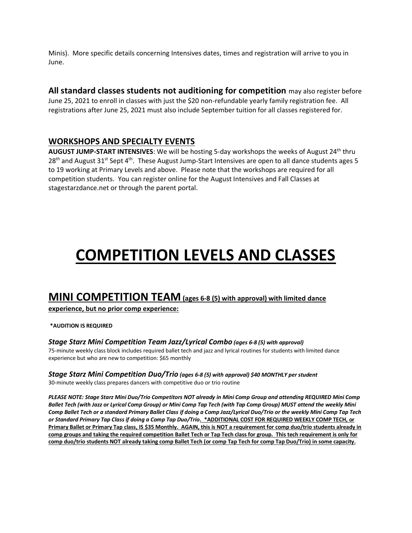Minis). More specific details concerning Intensives dates, times and registration will arrive to you in June.

**All standard classes students not auditioning for competition** may also register before June 25, 2021 to enroll in classes with just the \$20 non-refundable yearly family registration fee. All registrations after June 25, 2021 must also include September tuition for all classes registered for.

## **WORKSHOPS AND SPECIALTY EVENTS**

AUGUST JUMP-START INTENSIVES: We will be hosting 5-day workshops the weeks of August 24<sup>th</sup> thru 28<sup>th</sup> and August 31<sup>st</sup> Sept 4<sup>th</sup>. These August Jump-Start Intensives are open to all dance students ages 5 to 19 working at Primary Levels and above. Please note that the workshops are required for all competition students. You can register online for the August Intensives and Fall Classes at stagestarzdance.net or through the parent portal.

# **COMPETITION LEVELS AND CLASSES**

# **MINI COMPETITION TEAM(ages 6-8 (5) with approval) with limited dance**

#### **experience, but no prior comp experience:**

#### **\*AUDITION IS REQUIRED**

#### *Stage Starz Mini Competition Team Jazz/Lyrical Combo (ages 6-8 (5) with approval)*

75-minute weekly class block includes required ballet tech and jazz and lyrical routines for students with limited dance experience but who are new to competition: \$65 monthly

#### *Stage Starz Mini Competition Duo/Trio (ages 6-8 (5) with approval) \$40 MONTHLY per student* 30-minute weekly class prepares dancers with competitive duo or trio routine

*PLEASE NOTE: Stage Starz Mini Duo/Trio Competitors NOT already in Mini Comp Group and attending REQUIRED Mini Comp Ballet Tech (with Jazz or Lyrical Comp Group) or Mini Comp Tap Tech (with Tap Comp Group) MUST attend the weekly Mini Comp Ballet Tech or a standard Primary Ballet Class if doing a Comp Jazz/Lyrical Duo/Trio or the weekly Mini Comp Tap Tech or Standard Primary Tap Class if doing a Comp Tap Duo/Trio.* **\*ADDITIONAL COST FOR REQUIRED WEEKLY COMP TECH, or Primary Ballet or Primary Tap class, IS \$35 Monthly. AGAIN, this is NOT a requirement for comp duo/trio students already in comp groups and taking the required competition Ballet Tech or Tap Tech class for group. This tech requirement is only for comp duo/trio students NOT already taking comp Ballet Tech (or comp Tap Tech for comp Tap Duo/Trio) in some capacity.**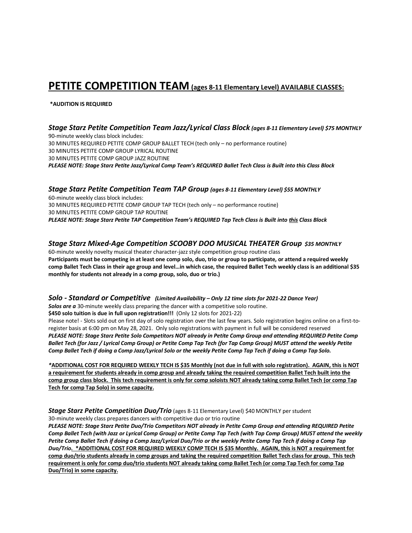# **PETITE COMPETITION TEAM (ages 8-11 Elementary Level) AVAILABLE CLASSES:**

#### **\*AUDITION IS REQUIRED**

*Stage Starz Petite Competition Team Jazz/Lyrical Class Block (ages 8-11 Elementary Level) \$75 MONTHLY* 90-minute weekly class block includes: 30 MINUTES REQUIRED PETITE COMP GROUP BALLET TECH (tech only – no performance routine) 30 MINUTES PETITE COMP GROUP LYRICAL ROUTINE 30 MINUTES PETITE COMP GROUP JAZZ ROUTINE *PLEASE NOTE: Stage Starz Petite Jazz/Lyrical Comp Team's REQUIRED Ballet Tech Class is Built into this Class Block*

#### *Stage Starz Petite Competition Team TAP Group (ages 8-11 Elementary Level) \$55 MONTHLY*

60-minute weekly class block includes: 30 MINUTES REQUIRED PETITE COMP GROUP TAP TECH (tech only – no performance routine) 30 MINUTES PETITE COMP GROUP TAP ROUTINE *PLEASE NOTE: Stage Starz Petite TAP Competition Team's REQUIRED Tap Tech Class is Built into this Class Block*

#### *Stage Starz Mixed-Age Competition SCOOBY DOO MUSICAL THEATER Group \$35 MONTHLY*

60-minute weekly novelty musical theater character-jazz style competition group routine class **Participants must be competing in at least one comp solo, duo, trio or group to participate, or attend a required weekly comp Ballet Tech Class in their age group and level…in which case, the required Ballet Tech weekly class is an additional \$35 monthly for students not already in a comp group, solo, duo or trio.)**

#### *Solo - Standard or Competitive (Limited Availability – Only 12 time slots for 2021-22 Dance Year)*

*Solos are a* 30-minute weekly class preparing the dancer with a competitive solo routine.

**\$450 solo tuition is due in full upon registration!!!** (Only 12 slots for 2021-22)

Please note! - Slots sold out on first day of solo registration over the last few years. Solo registration begins online on a first-toregister basis at 6:00 pm on May 28, 2021. Only solo registrations with payment in full will be considered reserved *PLEASE NOTE: Stage Starz Petite Solo Competitors NOT already in Petite Comp Group and attending REQUIRED Petite Comp Ballet Tech (for Jazz / Lyrical Comp Group) or Petite Comp Tap Tech (for Tap Comp Group) MUST attend the weekly Petite Comp Ballet Tech if doing a Comp Jazz/Lyrical Solo or the weekly Petite Comp Tap Tech if doing a Comp Tap Solo.*

*\****ADDITIONAL COST FOR REQUIRED WEEKLY TECH IS \$35 Monthly (not due in full with solo registration). AGAIN, this is NOT a requirement for students already in comp group and already taking the required competition Ballet Tech built into the comp group class block. This tech requirement is only for comp soloists NOT already taking comp Ballet Tech (or comp Tap Tech for comp Tap Solo) in some capacity.**

## **Stage Starz Petite Competition Duo/Trio** (ages 8-11 Elementary Level) \$40 MONTHLY per student

30-minute weekly class prepares dancers with competitive duo or trio routine

*PLEASE NOTE: Stage Starz Petite Duo/Trio Competitors NOT already in Petite Comp Group and attending REQUIRED Petite Comp Ballet Tech (with Jazz or Lyrical Comp Group) or Petite Comp Tap Tech (with Tap Comp Group) MUST attend the weekly Petite Comp Ballet Tech if doing a Comp Jazz/Lyrical Duo/Trio or the weekly Petite Comp Tap Tech if doing a Comp Tap Duo/Trio.* **\*ADDITIONAL COST FOR REQUIRED WEEKLY COMP TECH IS \$35 Monthly. AGAIN, this is NOT a requirement for comp duo/trio students already in comp groups and taking the required competition Ballet Tech class for group. This tech requirement is only for comp duo/trio students NOT already taking comp Ballet Tech (or comp Tap Tech for comp Tap Duo/Trio) in some capacity.**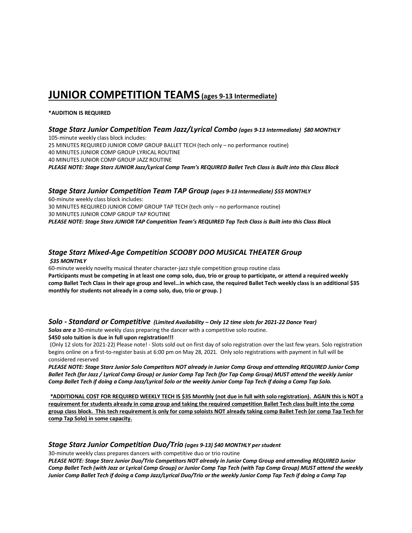# **JUNIOR COMPETITION TEAMS (ages 9-13 Intermediate)**

#### **\*AUDITION IS REQUIRED**

#### *Stage Starz Junior Competition Team Jazz/Lyrical Combo (ages 9-13 Intermediate) \$80 MONTHLY*

105-minute weekly class block includes: 25 MINUTES REQUIRED JUNIOR COMP GROUP BALLET TECH (tech only – no performance routine) 40 MINUTES JUNIOR COMP GROUP LYRICAL ROUTINE 40 MINUTES JUNIOR COMP GROUP JAZZ ROUTINE *PLEASE NOTE: Stage Starz JUNIOR Jazz/Lyrical Comp Team's REQUIRED Ballet Tech Class is Built into this Class Block*

#### *Stage Starz Junior Competition Team TAP Group (ages 9-13 Intermediate) \$55 MONTHLY*

60-minute weekly class block includes: 30 MINUTES REQUIRED JUNIOR COMP GROUP TAP TECH (tech only – no performance routine) 30 MINUTES JUNIOR COMP GROUP TAP ROUTINE *PLEASE NOTE: Stage Starz JUNIOR TAP Competition Team's REQUIRED Tap Tech Class is Built into this Class Block*

# *Stage Starz Mixed-Age Competition SCOOBY DOO MUSICAL THEATER Group*

#### *\$35 MONTHLY*

60-minute weekly novelty musical theater character-jazz style competition group routine class **Participants must be competing in at least one comp solo, duo, trio or group to participate, or attend a required weekly comp Ballet Tech Class in their age group and level…in which case, the required Ballet Tech weekly class is an additional \$35 monthly for students not already in a comp solo, duo, trio or group. )**

#### *Solo - Standard or Competitive (Limited Availability – Only 12 time slots for 2021-22 Dance Year)*

*Solos are a* 30-minute weekly class preparing the dancer with a competitive solo routine.

**\$450 solo tuition is due in full upon registration!!!**

(Only 12 slots for 2021-22) Please note! - Slots sold out on first day of solo registration over the last few years. Solo registration begins online on a first-to-register basis at 6:00 pm on May 28, 2021. Only solo registrations with payment in full will be considered reserved

*PLEASE NOTE: Stage Starz Junior Solo Competitors NOT already in Junior Comp Group and attending REQUIRED Junior Comp Ballet Tech (for Jazz / Lyrical Comp Group) or Junior Comp Tap Tech (for Tap Comp Group) MUST attend the weekly Junior Comp Ballet Tech if doing a Comp Jazz/Lyrical Solo or the weekly Junior Comp Tap Tech if doing a Comp Tap Solo.* 

*\****ADDITIONAL COST FOR REQUIRED WEEKLY TECH IS \$35 Monthly (not due in full with solo registration). AGAIN this is NOT a requirement for students already in comp group and taking the required competition Ballet Tech class built into the comp group class block. This tech requirement is only for comp soloists NOT already taking comp Ballet Tech (or comp Tap Tech for comp Tap Solo) in some capacity.**

#### *Stage Starz Junior Competition Duo/Trio (ages 9-13) \$40 MONTHLY per student*

30-minute weekly class prepares dancers with competitive duo or trio routine

*PLEASE NOTE: Stage Starz Junior Duo/Trio Competitors NOT already in Junior Comp Group and attending REQUIRED Junior Comp Ballet Tech (with Jazz or Lyrical Comp Group) or Junior Comp Tap Tech (with Tap Comp Group) MUST attend the weekly Junior Comp Ballet Tech if doing a Comp Jazz/Lyrical Duo/Trio or the weekly Junior Comp Tap Tech if doing a Comp Tap*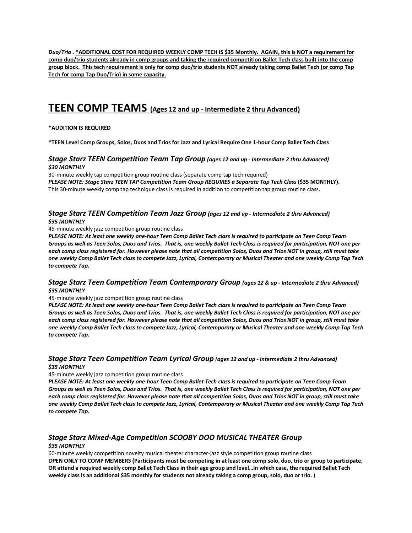*Duo/Trio .* **\*ADDITIONAL COST FOR REQUIRED WEEKLY COMP TECH IS \$35 Monthly. AGAIN, this is NOT a requirement for comp duo/trio students already in comp groups and taking the required competition Ballet Tech class built into the comp group block. This tech requirement is only for comp duo/trio students NOT already taking comp Ballet Tech (or comp Tap Tech for comp Tap Duo/Trio) in some capacity.**

# **TEEN COMP TEAMS (Ages 12 and up - Intermediate 2 thru Advanced)**

#### **\*AUDITION IS REQUIRED**

**\*TEEN Level Comp Groups, Solos, Duos and Trios for Jazz and Lyrical Require One 1-hour Comp Ballet Tech Class**

#### *Stage Starz TEEN Competition Team Tap Group (ages 12 and up - Intermediate 2 thru Advanced) \$30 MONTHLY*

30-minute weekly tap competition group routine class (separate comp tap tech required) *PLEASE NOTE: Stage Starz TEEN TAP Competition Team Group REQUIRES a Separate Tap Tech Class* **(\$35 MONTHLY).** This 30-minute weekly comp tap technique class is required in addition to competition tap group routine class.

#### *Stage Starz TEEN Competition Team Jazz Group (ages 12 and up - Intermediate 2 thru Advanced) \$35 MONTHLY*

45-minute weekly jazz competition group routine class

*PLEASE NOTE: At least one weekly one-hour Teen Comp Ballet Tech class is required to participate on Teen Comp Team Groups as well as Teen Solos, Duos and Trios. That is, one weekly Ballet Tech Class is required for participation, NOT one per each comp class registered for. However please note that all competition Solos, Duos and Trios NOT in group, still must take one weekly Comp Ballet Tech class to compete Jazz, Lyrical, Contemporary or Musical Theater and one weekly Comp Tap Tech to compete Tap.*

#### *Stage Starz Teen Competition Team Contemporary Group (ages 12 & up - Intermediate 2 thru Advanced) \$35 MONTHLY*

#### 45-minute weekly jazz competition group routine class

*PLEASE NOTE: At least one weekly one-hour Teen Comp Ballet Tech class is required to participate on Teen Comp Team Groups as well as Teen Solos, Duos and Trios. That is, one weekly Ballet Tech Class is required for participation, NOT one per each comp class registered for. However please note that all competition Solos, Duos and Trios NOT in group, still must take one weekly Comp Ballet Tech class to compete Jazz, Lyrical, Contemporary or Musical Theater and one weekly Comp Tap Tech to compete Tap.*

#### *Stage Starz Teen Competition Team Lyrical Group (ages 12 and up - Intermediate 2 thru Advanced) \$35 MONTHLY*

#### 45-minute weekly jazz competition group routine class

*PLEASE NOTE: At least one weekly one-hour Teen Comp Ballet Tech class is required to participate on Teen Comp Team Groups as well as Teen Solos, Duos and Trios. That is, one weekly Ballet Tech Class is required for participation, NOT one per each comp class registered for. However please note that all competition Solos, Duos and Trios NOT in group, still must take one weekly Comp Ballet Tech class to compete Jazz, Lyrical, Contemporary or Musical Theater and one weekly Comp Tap Tech to compete Tap.*

#### *Stage Starz Mixed-Age Competition SCOOBY DOO MUSICAL THEATER Group \$35 MONTHLY*

60-minute weekly competition novelty musical theater character-jazz style competition group routine class *OP***EN ONLY TO COMP MEMBERS (Participants must be competing in at least one comp solo, duo, trio or group to participate, OR attend a required weekly comp Ballet Tech Class in their age group and level…in which case, the required Ballet Tech weekly class is an additional \$35 monthly for students not already taking a comp group, solo, duo or trio. )**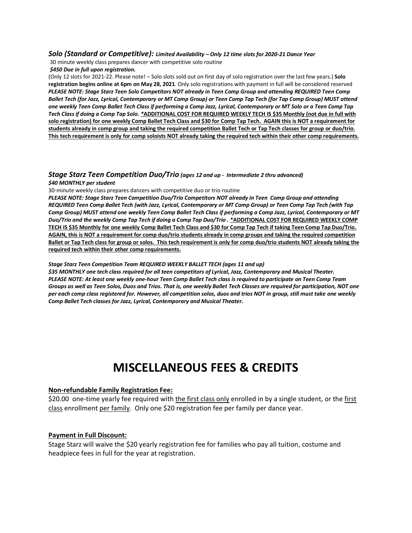#### *Solo (Standard or Competitive): Limited Availability – Only 12 time slots for 2020-21 Dance Year*

30 minute weekly class prepares dancer with competitive solo routine *\$450 Due in full upon registration.* 

(Only 12 slots for 2021-22. Please note! – Solo slots sold out on first day of solo registration over the last few years.) **Solo registration begins online at 6pm on May 28, 2021**. Only solo registrations with payment in full will be considered reserved *PLEASE NOTE: Stage Starz Teen Solo Competitors NOT already in Teen Comp Group and attending REQUIRED Teen Comp Ballet Tech (for Jazz, Lyrical, Contemporary or MT Comp Group) or Teen Comp Tap Tech (for Tap Comp Group) MUST attend one weekly Teen Comp Ballet Tech Class if performing a Comp Jazz, Lyrical, Contemporary or MT Solo or a Teen Comp Tap Tech Class if doing a Comp Tap Solo. \****ADDITIONAL COST FOR REQUIRED WEEKLY TECH IS \$35 Monthly (not due in full with solo registration) for one weekly Comp Ballet Tech Class and \$30 for Comp Tap Tech. AGAIN this is NOT a requirement for students already in comp group and taking the required competition Ballet Tech or Tap Tech classes for group or duo/trio. This tech requirement is only for comp soloists NOT already taking the required tech within their other comp requirements.**

#### *Stage Starz Teen Competition Duo/Trio (ages 12 and up - Intermediate 2 thru advanced) \$40 MONTHLY per student*

#### 30-minute weekly class prepares dancers with competitive duo or trio routine

*PLEASE NOTE: Stage Starz Teen Competition Duo/Trio Competitors NOT already in Teen Comp Group and attending REQUIRED Teen Comp Ballet Tech (with Jazz, Lyrical, Contemporary or MT Comp Group) or Teen Comp Tap Tech (with Tap Comp Group) MUST attend one weekly Teen Comp Ballet Tech Class if performing a Comp Jazz, Lyrical, Contemporary or MT Duo/Trio and the weekly Comp Tap Tech if doing a Comp Tap Duo/Trio .* **\*ADDITIONAL COST FOR REQUIRED WEEKLY COMP TECH IS \$35 Monthly for one weekly Comp Ballet Tech Class and \$30 for Comp Tap Tech if taking Teen Comp Tap Duo/Trio. AGAIN, this is NOT a requirement for comp duo/trio students already in comp groups and taking the required competition Ballet or Tap Tech class for group or solos. This tech requirement is only for comp duo/trio students NOT already taking the required tech within their other comp requirements.**

#### *Stage Starz Teen Competition Team REQUIRED WEEKLY BALLET TECH (ages 11 and up)*

*\$35 MONTHLY one tech class required for all teen competitors of Lyrical, Jazz, Contemporary and Musical Theater. PLEASE NOTE: At least one weekly one-hour Teen Comp Ballet Tech class is required to participate on Teen Comp Team Groups as well as Teen Solos, Duos and Trios. That is, one weekly Ballet Tech Classes are required for participation, NOT one per each comp class registered for. However, all competition solos, duos and trios NOT in group, still must take one weekly Comp Ballet Tech classes for Jazz, Lyrical, Contemporary and Musical Theater.*

# **MISCELLANEOUS FEES & CREDITS**

#### **Non-refundable Family Registration Fee:**

\$20.00 one-time yearly fee required with the first class only enrolled in by a single student, or the first class enrollment per family. Only one \$20 registration fee per family per dance year.

#### **Payment in Full Discount:**

Stage Starz will waive the \$20 yearly registration fee for families who pay all tuition, costume and headpiece fees in full for the year at registration.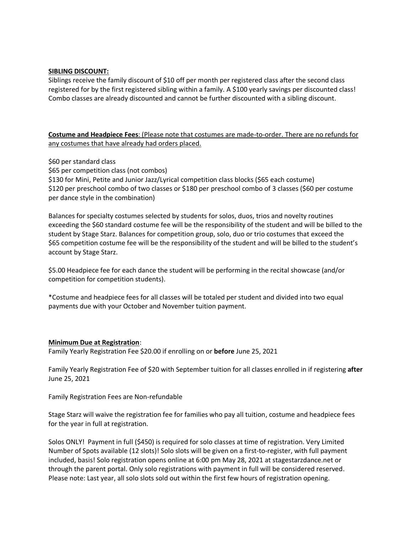#### **SIBLING DISCOUNT:**

Siblings receive the family discount of \$10 off per month per registered class after the second class registered for by the first registered sibling within a family. A \$100 yearly savings per discounted class! Combo classes are already discounted and cannot be further discounted with a sibling discount.

**Costume and Headpiece Fees**: (Please note that costumes are made-to-order. There are no refunds for any costumes that have already had orders placed.

\$60 per standard class

\$65 per competition class (not combos)

\$130 for Mini, Petite and Junior Jazz/Lyrical competition class blocks (\$65 each costume) \$120 per preschool combo of two classes or \$180 per preschool combo of 3 classes (\$60 per costume per dance style in the combination)

Balances for specialty costumes selected by students for solos, duos, trios and novelty routines exceeding the \$60 standard costume fee will be the responsibility of the student and will be billed to the student by Stage Starz. Balances for competition group, solo, duo or trio costumes that exceed the \$65 competition costume fee will be the responsibility of the student and will be billed to the student's account by Stage Starz.

\$5.00 Headpiece fee for each dance the student will be performing in the recital showcase (and/or competition for competition students).

\*Costume and headpiece fees for all classes will be totaled per student and divided into two equal payments due with your October and November tuition payment.

#### **Minimum Due at Registration**:

Family Yearly Registration Fee \$20.00 if enrolling on or **before** June 25, 2021

Family Yearly Registration Fee of \$20 with September tuition for all classes enrolled in if registering **after** June 25, 2021

Family Registration Fees are Non-refundable

Stage Starz will waive the registration fee for families who pay all tuition, costume and headpiece fees for the year in full at registration.

Solos ONLY! Payment in full (\$450) is required for solo classes at time of registration. Very Limited Number of Spots available (12 slots)! Solo slots will be given on a first-to-register, with full payment included, basis! Solo registration opens online at 6:00 pm May 28, 2021 at stagestarzdance.net or through the parent portal. Only solo registrations with payment in full will be considered reserved. Please note: Last year, all solo slots sold out within the first few hours of registration opening.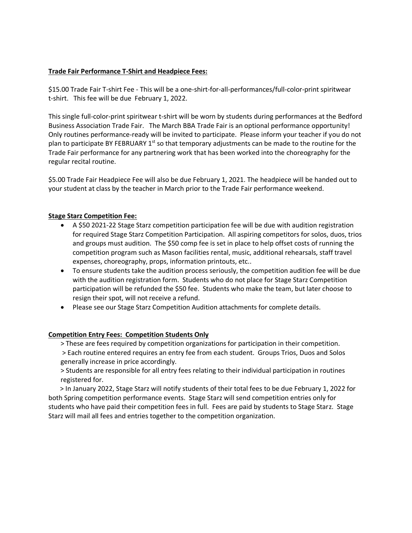#### **Trade Fair Performance T-Shirt and Headpiece Fees:**

\$15.00 Trade Fair T-shirt Fee - This will be a one-shirt-for-all-performances/full-color-print spiritwear t-shirt. This fee will be due February 1, 2022.

This single full-color-print spiritwear t-shirt will be worn by students during performances at the Bedford Business Association Trade Fair. The March BBA Trade Fair is an optional performance opportunity! Only routines performance-ready will be invited to participate. Please inform your teacher if you do not plan to participate BY FEBRUARY  $1<sup>st</sup>$  so that temporary adjustments can be made to the routine for the Trade Fair performance for any partnering work that has been worked into the choreography for the regular recital routine.

\$5.00 Trade Fair Headpiece Fee will also be due February 1, 2021. The headpiece will be handed out to your student at class by the teacher in March prior to the Trade Fair performance weekend.

#### **Stage Starz Competition Fee:**

- A \$50 2021-22 Stage Starz competition participation fee will be due with audition registration for required Stage Starz Competition Participation. All aspiring competitors for solos, duos, trios and groups must audition. The \$50 comp fee is set in place to help offset costs of running the competition program such as Mason facilities rental, music, additional rehearsals, staff travel expenses, choreography, props, information printouts, etc..
- To ensure students take the audition process seriously, the competition audition fee will be due with the audition registration form. Students who do not place for Stage Starz Competition participation will be refunded the \$50 fee. Students who make the team, but later choose to resign their spot, will not receive a refund.
- Please see our Stage Starz Competition Audition attachments for complete details.

#### **Competition Entry Fees: Competition Students Only**

> These are fees required by competition organizations for participation in their competition. > Each routine entered requires an entry fee from each student. Groups Trios, Duos and Solos generally increase in price accordingly.

> Students are responsible for all entry fees relating to their individual participation in routines registered for.

 > In January 2022, Stage Starz will notify students of their total fees to be due February 1, 2022 for both Spring competition performance events. Stage Starz will send competition entries only for students who have paid their competition fees in full. Fees are paid by students to Stage Starz. Stage Starz will mail all fees and entries together to the competition organization.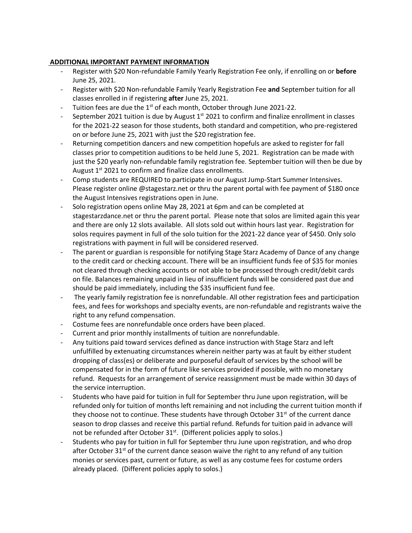#### **ADDITIONAL IMPORTANT PAYMENT INFORMATION**

- Register with \$20 Non-refundable Family Yearly Registration Fee only, if enrolling on or **before** June 25, 2021.
- Register with \$20 Non-refundable Family Yearly Registration Fee **and** September tuition for all classes enrolled in if registering **after** June 25, 2021.
- Tuition fees are due the  $1^{st}$  of each month, October through June 2021-22.
- September 2021 tuition is due by August  $1<sup>st</sup>$  2021 to confirm and finalize enrollment in classes for the 2021-22 season for those students, both standard and competition, who pre-registered on or before June 25, 2021 with just the \$20 registration fee.
- Returning competition dancers and new competition hopefuls are asked to register for fall classes prior to competition auditions to be held June 5, 2021. Registration can be made with just the \$20 yearly non-refundable family registration fee. September tuition will then be due by August  $1<sup>st</sup>$  2021 to confirm and finalize class enrollments.
- Comp students are REQUIRED to participate in our August Jump-Start Summer Intensives. Please register online @stagestarz.net or thru the parent portal with fee payment of \$180 once the August Intensives registrations open in June.
- Solo registration opens online May 28, 2021 at 6pm and can be completed at stagestarzdance.net or thru the parent portal. Please note that solos are limited again this year and there are only 12 slots available. All slots sold out within hours last year. Registration for solos requires payment in full of the solo tuition for the 2021-22 dance year of \$450. Only solo registrations with payment in full will be considered reserved.
- The parent or guardian is responsible for notifying Stage Starz Academy of Dance of any change to the credit card or checking account. There will be an insufficient funds fee of \$35 for monies not cleared through checking accounts or not able to be processed through credit/debit cards on file. Balances remaining unpaid in lieu of insufficient funds will be considered past due and should be paid immediately, including the \$35 insufficient fund fee.
- The yearly family registration fee is nonrefundable. All other registration fees and participation fees, and fees for workshops and specialty events, are non-refundable and registrants waive the right to any refund compensation.
- Costume fees are nonrefundable once orders have been placed.
- Current and prior monthly installments of tuition are nonrefundable.
- Any tuitions paid toward services defined as dance instruction with Stage Starz and left unfulfilled by extenuating circumstances wherein neither party was at fault by either student dropping of class(es) or deliberate and purposeful default of services by the school will be compensated for in the form of future like services provided if possible, with no monetary refund. Requests for an arrangement of service reassignment must be made within 30 days of the service interruption.
- Students who have paid for tuition in full for September thru June upon registration, will be refunded only for tuition of months left remaining and not including the current tuition month if they choose not to continue. These students have through October  $31<sup>st</sup>$  of the current dance season to drop classes and receive this partial refund. Refunds for tuition paid in advance will not be refunded after October 31<sup>st</sup>. (Different policies apply to solos.)
- Students who pay for tuition in full for September thru June upon registration, and who drop after October 31 $<sup>st</sup>$  of the current dance season waive the right to any refund of any tuition</sup> monies or services past, current or future, as well as any costume fees for costume orders already placed. (Different policies apply to solos.)